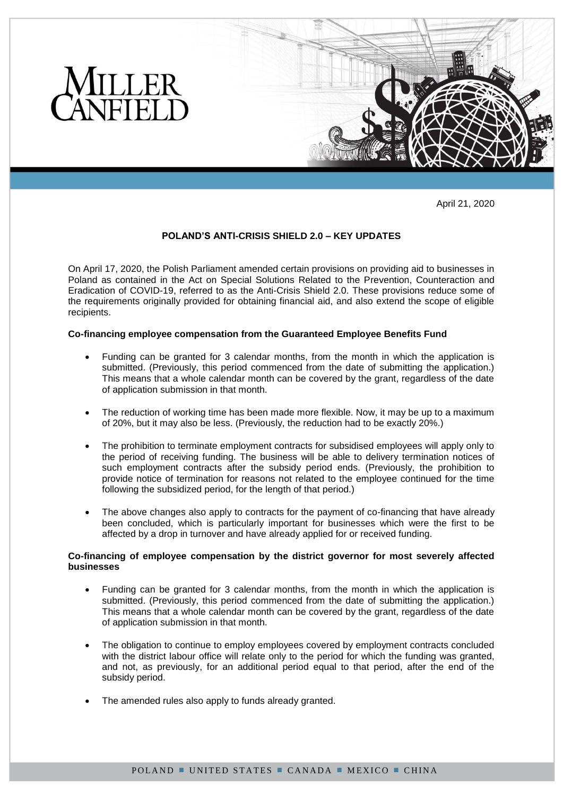

April 21, 2020

# **POLAND'S ANTI-CRISIS SHIELD 2.0 – KEY UPDATES**

On April 17, 2020, the Polish Parliament amended certain provisions on providing aid to businesses in Poland as contained in the Act on Special Solutions Related to the Prevention, Counteraction and Eradication of COVID-19, referred to as the Anti-Crisis Shield 2.0. These provisions reduce some of the requirements originally provided for obtaining financial aid, and also extend the scope of eligible recipients.

#### **Co-financing employee compensation from the Guaranteed Employee Benefits Fund**

- Funding can be granted for 3 calendar months, from the month in which the application is submitted. (Previously, this period commenced from the date of submitting the application.) This means that a whole calendar month can be covered by the grant, regardless of the date of application submission in that month.
- The reduction of working time has been made more flexible. Now, it may be up to a maximum of 20%, but it may also be less. (Previously, the reduction had to be exactly 20%.)
- The prohibition to terminate employment contracts for subsidised employees will apply only to the period of receiving funding. The business will be able to delivery termination notices of such employment contracts after the subsidy period ends. (Previously, the prohibition to provide notice of termination for reasons not related to the employee continued for the time following the subsidized period, for the length of that period.)
- The above changes also apply to contracts for the payment of co-financing that have already been concluded, which is particularly important for businesses which were the first to be affected by a drop in turnover and have already applied for or received funding.

## **Co-financing of employee compensation by the district governor for most severely affected businesses**

- Funding can be granted for 3 calendar months, from the month in which the application is submitted. (Previously, this period commenced from the date of submitting the application.) This means that a whole calendar month can be covered by the grant, regardless of the date of application submission in that month.
- The obligation to continue to employ employees covered by employment contracts concluded with the district labour office will relate only to the period for which the funding was granted, and not, as previously, for an additional period equal to that period, after the end of the subsidy period.
- The amended rules also apply to funds already granted.